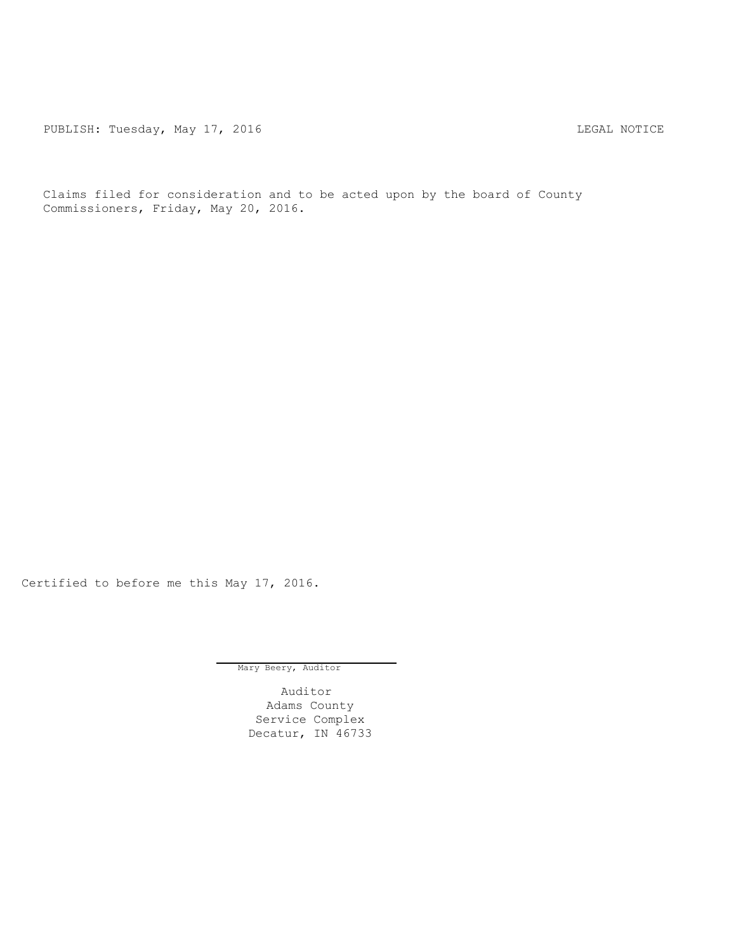PUBLISH: Tuesday, May 17, 2016 CHA CHANGE CONTROLLING MOTICE

Claims filed for consideration and to be acted upon by the board of County Commissioners, Friday, May 20, 2016.

Certified to before me this May 17, 2016.

Mary Beery, Auditor

Auditor Adams County Service Complex Decatur, IN 46733